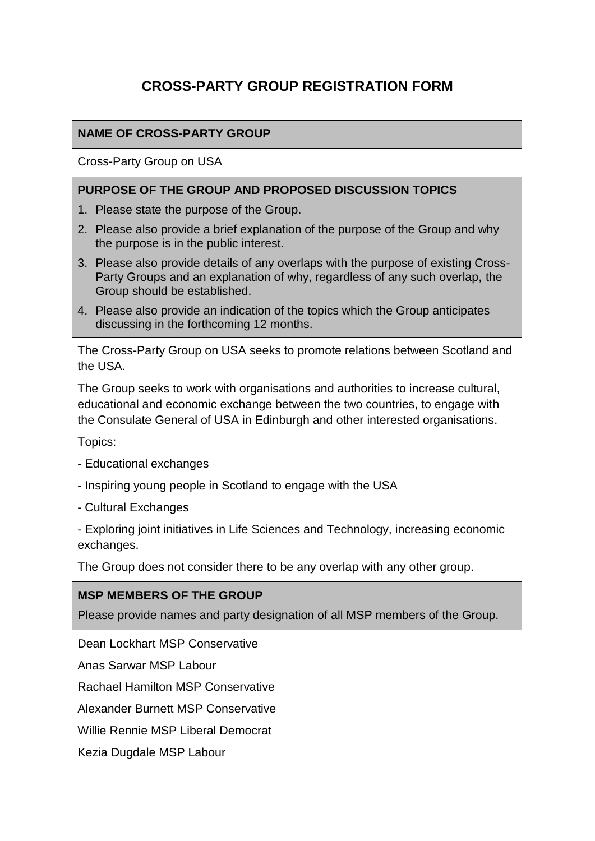# **CROSS-PARTY GROUP REGISTRATION FORM**

# **NAME OF CROSS-PARTY GROUP**

Cross-Party Group on USA

#### **PURPOSE OF THE GROUP AND PROPOSED DISCUSSION TOPICS**

- 1. Please state the purpose of the Group.
- 2. Please also provide a brief explanation of the purpose of the Group and why the purpose is in the public interest.
- 3. Please also provide details of any overlaps with the purpose of existing Cross-Party Groups and an explanation of why, regardless of any such overlap, the Group should be established.
- 4. Please also provide an indication of the topics which the Group anticipates discussing in the forthcoming 12 months.

The Cross-Party Group on USA seeks to promote relations between Scotland and the USA.

The Group seeks to work with organisations and authorities to increase cultural, educational and economic exchange between the two countries, to engage with the Consulate General of USA in Edinburgh and other interested organisations.

Topics:

- Educational exchanges
- Inspiring young people in Scotland to engage with the USA
- Cultural Exchanges

- Exploring joint initiatives in Life Sciences and Technology, increasing economic exchanges.

The Group does not consider there to be any overlap with any other group.

#### **MSP MEMBERS OF THE GROUP**

Please provide names and party designation of all MSP members of the Group.

Dean Lockhart MSP Conservative

Anas Sarwar MSP Labour

Rachael Hamilton MSP Conservative

Alexander Burnett MSP Conservative

Willie Rennie MSP Liberal Democrat

Kezia Dugdale MSP Labour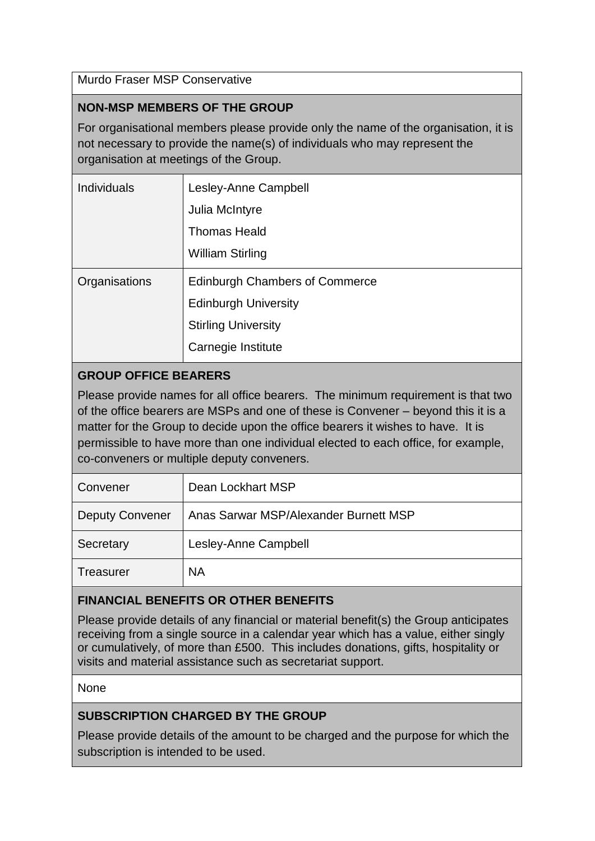Murdo Fraser MSP Conservative

## **NON-MSP MEMBERS OF THE GROUP**

For organisational members please provide only the name of the organisation, it is not necessary to provide the name(s) of individuals who may represent the organisation at meetings of the Group.

| <b>Individuals</b> | Lesley-Anne Campbell                  |
|--------------------|---------------------------------------|
|                    | Julia McIntyre                        |
|                    | <b>Thomas Heald</b>                   |
|                    | <b>William Stirling</b>               |
| Organisations      | <b>Edinburgh Chambers of Commerce</b> |
|                    | <b>Edinburgh University</b>           |
|                    | <b>Stirling University</b>            |
|                    | Carnegie Institute                    |

## **GROUP OFFICE BEARERS**

Please provide names for all office bearers. The minimum requirement is that two of the office bearers are MSPs and one of these is Convener – beyond this it is a matter for the Group to decide upon the office bearers it wishes to have. It is permissible to have more than one individual elected to each office, for example, co-conveners or multiple deputy conveners.

| Convener               | Dean Lockhart MSP                     |
|------------------------|---------------------------------------|
| <b>Deputy Convener</b> | Anas Sarwar MSP/Alexander Burnett MSP |
| Secretary              | Lesley-Anne Campbell                  |
| Treasurer              | <b>NA</b>                             |

# **FINANCIAL BENEFITS OR OTHER BENEFITS**

Please provide details of any financial or material benefit(s) the Group anticipates receiving from a single source in a calendar year which has a value, either singly or cumulatively, of more than £500. This includes donations, gifts, hospitality or visits and material assistance such as secretariat support.

#### **None**

## **SUBSCRIPTION CHARGED BY THE GROUP**

Please provide details of the amount to be charged and the purpose for which the subscription is intended to be used.